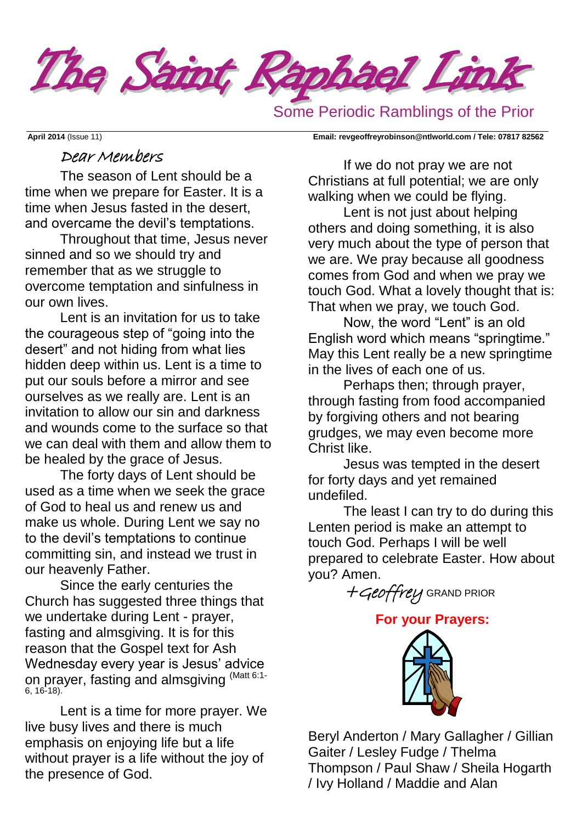

Some Periodic Ramblings of the Prior

**April 2014** (Issue 11) **Email: [revgeoffreyrobinson@ntlworld.com](mailto:revgeoffreyrobinson@ntlworld.com) / Tele: 07817 82562**

### Dear Members

The season of Lent should be a time when we prepare for Easter. It is a time when Jesus fasted in the desert, and overcame the devil's temptations.

Throughout that time, Jesus never sinned and so we should try and remember that as we struggle to overcome temptation and sinfulness in our own lives.

Lent is an invitation for us to take the courageous step of "going into the desert" and not hiding from what lies hidden deep within us. Lent is a time to put our souls before a mirror and see ourselves as we really are. Lent is an invitation to allow our sin and darkness and wounds come to the surface so that we can deal with them and allow them to be healed by the grace of Jesus.

The forty days of Lent should be used as a time when we seek the grace of God to heal us and renew us and make us whole. During Lent we say no to the devil's temptations to continue committing sin, and instead we trust in our heavenly Father.

Since the early centuries the Church has suggested three things that we undertake during Lent - prayer, fasting and almsgiving. It is for this reason that the Gospel text for Ash Wednesday every year is Jesus' advice on prayer, fasting and almsgiving <sup>(Matt 6:1-</sup> 6, 16-18).

Lent is a time for more prayer. We live busy lives and there is much emphasis on enjoying life but a life without prayer is a life without the joy of the presence of God.

If we do not pray we are not Christians at full potential; we are only walking when we could be flying.

Lent is not just about helping others and doing something, it is also very much about the type of person that we are. We pray because all goodness comes from God and when we pray we touch God. What a lovely thought that is: That when we pray, we touch God.

Now, the word "Lent" is an old English word which means "springtime." May this Lent really be a new springtime in the lives of each one of us.

Perhaps then; through prayer, through fasting from food accompanied by forgiving others and not bearing grudges, we may even become more Christ like.

Jesus was tempted in the desert for forty days and yet remained undefiled.

The least I can try to do during this Lenten period is make an attempt to touch God. Perhaps I will be well prepared to celebrate Easter. How about you? Amen.

+Geoffrey GRAND PRIOR

**For your Prayers:** 



Beryl Anderton / Mary Gallagher / Gillian Gaiter / Lesley Fudge / Thelma Thompson / Paul Shaw / Sheila Hogarth / Ivy Holland / Maddie and Alan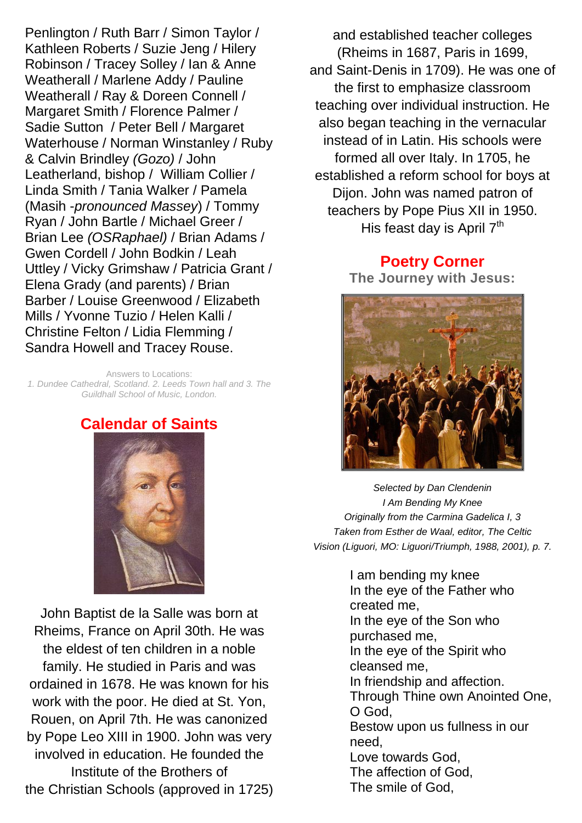Penlington / Ruth Barr / Simon Taylor / Kathleen Roberts / Suzie Jeng / Hilery Robinson / Tracey Solley / Ian & Anne Weatherall / Marlene Addy / Pauline Weatherall / Ray & Doreen Connell / Margaret Smith / Florence Palmer / Sadie Sutton / Peter Bell / Margaret Waterhouse / Norman Winstanley / Ruby & Calvin Brindley *(Gozo)* / John Leatherland, bishop / William Collier / Linda Smith / Tania Walker / Pamela (Masih -*pronounced Massey*) / Tommy Ryan / John Bartle / Michael Greer / Brian Lee *(OSRaphael)* / Brian Adams / Gwen Cordell / John Bodkin / Leah Uttley / Vicky Grimshaw / Patricia Grant / Elena Grady (and parents) / Brian Barber / Louise Greenwood / Elizabeth Mills / Yvonne Tuzio / Helen Kalli / Christine Felton / Lidia Flemming / Sandra Howell and Tracey Rouse.

Answers to Locations: *1. Dundee Cathedral, Scotland. 2. Leeds Town hall and 3. The Guildhall School of Music, London.*

### **Calendar of Saints**

John Baptist de la Salle was born at Rheims, [France](http://www.catholic.org/encyclopedia/view.php?id=4817) on April 30th. He was the eldest of ten [children](http://www.catholic.org/shopping/?category=28) in a noble family. He studied in [Paris](http://www.catholic.org/encyclopedia/view.php?id=8987) and was ordained in 1678. He was known for his work with the poor. He died at St. Yon, Rouen, on April 7th. He was canonized by Pope Leo XIII in 1900. [John](http://www.catholic.org/bible/book.php?id=50) was very involved in education. He founded the Institute of the Brothers of the [Christian](http://www.catholic.org/encyclopedia/view.php?id=2927) [Schools](http://www.catholic.org/encyclopedia/view.php?id=10590) (approved in 1725)

and established teacher colleges (Rheims in 1687, [Paris](http://www.catholic.org/encyclopedia/view.php?id=8987) in 1699, and [Saint-Denis](http://www.catholic.org/encyclopedia/view.php?id=10317) in 1709). He was one of the first to emphasize classroom teaching over individual instruction. He also began teaching in the vernacular instead of in Latin. His [schools](http://www.catholic.org/encyclopedia/view.php?id=10590) were formed all over Italy. In 1705, he established a reform school for boys at Dijon. [John](http://www.catholic.org/bible/book.php?id=50) was named patron of teachers by Pope Pius XII in 1950. His [feast day](http://www.catholic.org/saints/f_day/) is April  $7<sup>th</sup>$ 

> **Poetry Corner The Journey with Jesus:**



*Selected by Dan Clendenin I Am Bending My Knee Originally from the Carmina Gadelica I, 3 Taken from Esther de Waal, editor, The Celtic Vision (Liguori, MO: Liguori/Triumph, 1988, 2001), p. 7.*

> I am bending my knee In the eye of the Father who created me, In the eye of the Son who purchased me, In the eye of the Spirit who cleansed me, In friendship and affection. Through Thine own Anointed One, O God, Bestow upon us fullness in our need, Love towards God, The affection of God, The smile of God,